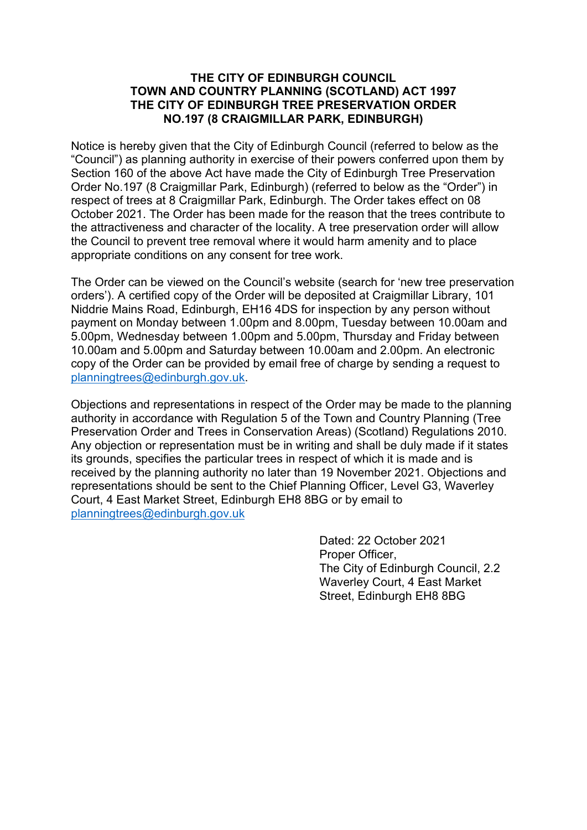#### **THE CITY OF EDINBURGH COUNCIL TOWN AND COUNTRY PLANNING (SCOTLAND) ACT 1997 THE CITY OF EDINBURGH TREE PRESERVATION ORDER NO.197 (8 CRAIGMILLAR PARK, EDINBURGH)**

Notice is hereby given that the City of Edinburgh Council (referred to below as the "Council") as planning authority in exercise of their powers conferred upon them by Section 160 of the above Act have made the City of Edinburgh Tree Preservation Order No.197 (8 Craigmillar Park, Edinburgh) (referred to below as the "Order") in respect of trees at 8 Craigmillar Park, Edinburgh. The Order takes effect on 08 October 2021. The Order has been made for the reason that the trees contribute to the attractiveness and character of the locality. A tree preservation order will allow the Council to prevent tree removal where it would harm amenity and to place appropriate conditions on any consent for tree work.

The Order can be viewed on the Council's website (search for 'new tree preservation orders'). A certified copy of the Order will be deposited at Craigmillar Library, 101 Niddrie Mains Road, Edinburgh, EH16 4DS for inspection by any person without payment on Monday between 1.00pm and 8.00pm, Tuesday between 10.00am and 5.00pm, Wednesday between 1.00pm and 5.00pm, Thursday and Friday between 10.00am and 5.00pm and Saturday between 10.00am and 2.00pm. An electronic copy of the Order can be provided by email free of charge by sending a request to [planningtrees@edinburgh.gov.uk.](mailto:planningtrees@edinburgh.gov.uk)

Objections and representations in respect of the Order may be made to the planning authority in accordance with Regulation 5 of the Town and Country Planning (Tree Preservation Order and Trees in Conservation Areas) (Scotland) Regulations 2010. Any objection or representation must be in writing and shall be duly made if it states its grounds, specifies the particular trees in respect of which it is made and is received by the planning authority no later than 19 November 2021. Objections and representations should be sent to the Chief Planning Officer, Level G3, Waverley Court, 4 East Market Street, Edinburgh EH8 8BG or by email to [planningtrees@edinburgh.gov.uk](mailto:planningtrees@edinburgh.gov.uk)

> Dated: 22 October 2021 Proper Officer, The City of Edinburgh Council, 2.2 Waverley Court, 4 East Market Street, Edinburgh EH8 8BG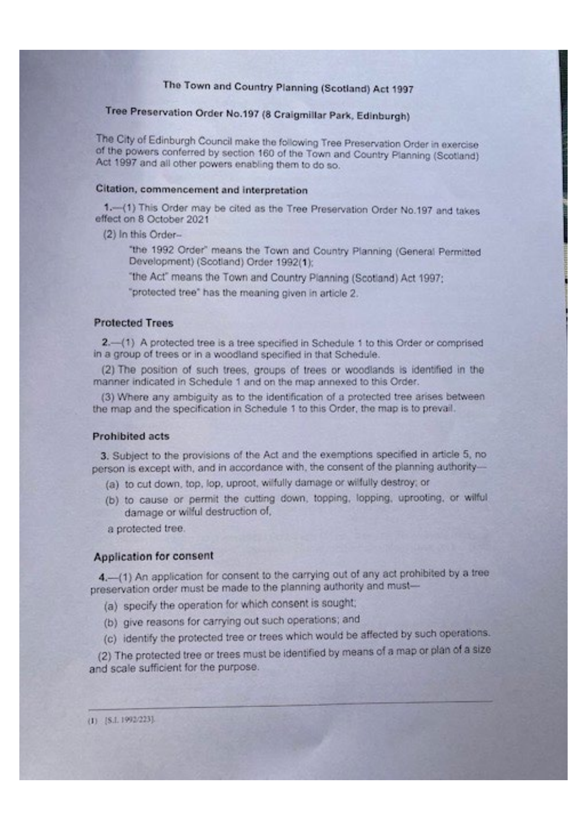# The Town and Country Planning (Scotland) Act 1997

# Tree Preservation Order No.197 (8 Craigmillar Park, Edinburgh)

The City of Edinburgh Council make the following Tree Preservation Order in exercise of the powers conferred by section 160 of the Town and Country Planning (Scotland) Act 1997 and all other powers enabling them to do so.

### Citation, commencement and interpretation

1 .- (1) This Order may be cited as the Tree Preservation Order No.197 and takes effect on 8 October 2021

(2) In this Order-

"the 1992 Order" means the Town and Country Planning (General Permitted Development) (Scotland) Order 1992(1);

"the Act" means the Town and Country Planning (Scotland) Act 1997;

"protected tree" has the meaning given in article 2.

### **Protected Trees**

2.-(1) A protected tree is a tree specified in Schedule 1 to this Order or comprised in a group of trees or in a woodland specified in that Schedule.

(2) The position of such trees, groups of trees or woodlands is identified in the manner indicated in Schedule 1 and on the map annexed to this Order.

(3) Where any ambiguity as to the identification of a protected tree arises between the map and the specification in Schedule 1 to this Order, the map is to prevail.

### **Prohibited acts**

3. Subject to the provisions of the Act and the exemptions specified in article 5, no person is except with, and in accordance with, the consent of the planning authority-

- (a) to cut down, top, lop, uproot, wilfully damage or wilfully destroy; or
- (b) to cause or permit the cutting down, topping, lopping, uprooting, or witful damage or wilful destruction of.

a protected tree.

## **Application for consent**

 $(1)$  [S.I. 1992/223].

4.- (1) An application for consent to the carrying out of any act prohibited by a tree preservation order must be made to the planning authority and must-

- (a) specify the operation for which consent is sought;
- (b) give reasons for carrying out such operations; and

(c) identify the protected tree or trees which would be affected by such operations. (2) The protected tree or trees must be identified by means of a map or plan of a size and scale sufficient for the purpose.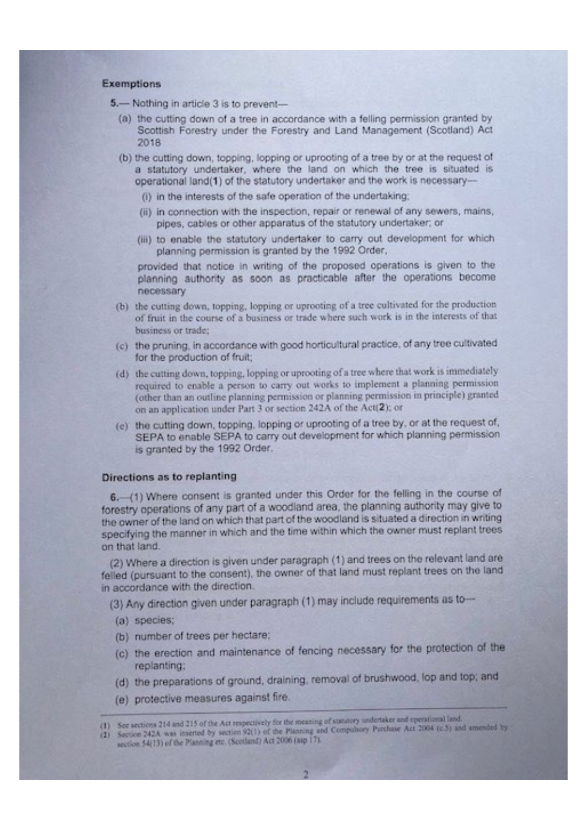### Exemptions

- 5.- Nothing in article 3 is to prevent-
	- (a) the cutting down of a tree in accordance with a felling permission granted by Scottish Forestry under the Forestry and Land Management (Scotland) Act 2018
	- (b) the cutting down, topping, lopping or uprooting of a tree by or at the request of a statutory undertaker, where the land on which the tree is situated is operational land(1) of the statutory undertaker and the work is necessary-
		- (i) in the interests of the safe operation of the undertaking:
		- (ii) in connection with the inspection, repair or renewal of any sewers, mains, pipes, cables or other apparatus of the statutory undertaker; or
		- (iii) to enable the statutory undertaker to carry out development for which planning permission is granted by the 1992 Order,

provided that notice in writing of the proposed operations is given to the planning authority as soon as practicable after the operations become necessary

- (b) the cutting down, topping, lopping or uprooting of a tree cultivated for the production of fruit in the course of a business or trade where such work is in the interests of that business or trade;
- (c) the pruning, in accordance with good horticultural practice, of any tree cultivated for the production of fruit;
- (d) the cutting down, topping, lopping or uprooting of a tree where that work is immediately required to enable a person to carry out works to implement a planning permission (other than an outline planning permission or planning permission in principle) granted on an application under Part 3 or section 242A of the Act(2); or
- (e) the cutting down, topping, lopping or uprooting of a tree by, or at the request of, SEPA to enable SEPA to carry out development for which planning permission is granted by the 1992 Order.

### Directions as to replanting

6. (1) Where consent is granted under this Order for the felling in the course of forestry operations of any part of a woodland area, the planning authority may give to the owner of the land on which that part of the woodland is situated a direction in writing specifying the manner in which and the time within which the owner must replant trees on that land.

(2) Where a direction is given under paragraph (1) and trees on the relevant land are felled (pursuant to the consent), the owner of that land must replant trees on the land in accordance with the direction.

- (3) Any direction given under paragraph (1) may include requirements as to-
- (a) species;
- (b) number of trees per hectare;
- (c) the erection and maintenance of fencing necessary for the protection of the replanting:
- (d) the preparations of ground, draining, removal of brushwood, lop and top; and
- (e) protective measures against fire.
- (1) See sections 214 and 215 of the Act respectively for the meaning of statutory undertaker and operational land.
- (2) Section 242A was inserted by section 92(1) of the Planning and Compulsory Purchase Act 2004 (c.5) and amended by section 54(13) of the Planning etc. (Scotland) Act 2006 (asp 17).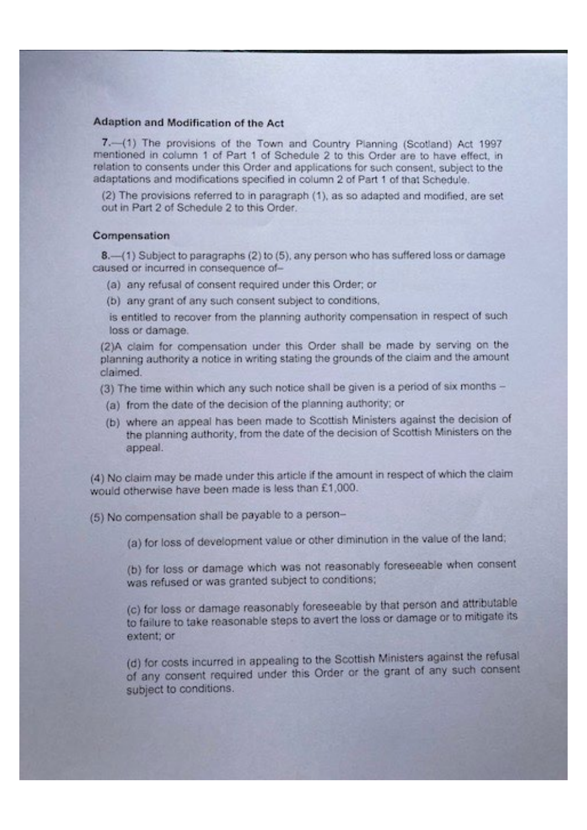## Adaption and Modification of the Act

7.-(1) The provisions of the Town and Country Planning (Scotland) Act 1997 mentioned in column 1 of Part 1 of Schedule 2 to this Order are to have effect, in relation to consents under this Order and applications for such consent, subject to the adaptations and modifications specified in column 2 of Part 1 of that Schedule.

(2) The provisions referred to in paragraph (1), as so adapted and modified, are set out in Part 2 of Schedule 2 to this Order.

### Compensation

8. (1) Subject to paragraphs (2) to (5), any person who has suffered loss or damage caused or incurred in consequence of-

- (a) any refusal of consent required under this Order; or
- (b) any grant of any such consent subject to conditions,

is entitled to recover from the planning authority compensation in respect of such loss or damage.

(2)A claim for compensation under this Order shall be made by serving on the planning authority a notice in writing stating the grounds of the claim and the amount claimed.

(3) The time within which any such notice shall be given is a period of six months -

- (a) from the date of the decision of the planning authority; or
- (b) where an appeal has been made to Scottish Ministers against the decision of the planning authority, from the date of the decision of Scottish Ministers on the appeal.

(4) No claim may be made under this article if the amount in respect of which the claim would otherwise have been made is less than £1,000.

(5) No compensation shall be payable to a person-

(a) for loss of development value or other diminution in the value of the land;

(b) for loss or damage which was not reasonably foreseeable when consent was refused or was granted subject to conditions;

(c) for loss or damage reasonably foreseeable by that person and attributable to failure to take reasonable steps to avert the loss or damage or to mitigate its

## extent; or

(d) for costs incurred in appealing to the Scottish Ministers against the refusal of any consent required under this Order or the grant of any such consent subject to conditions.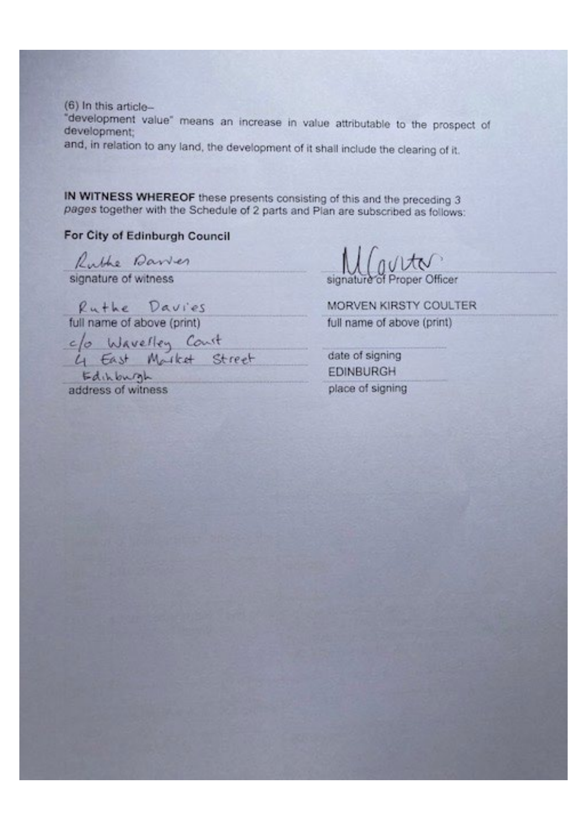$(6)$  In this article-"development value" means an increase in value attributable to the prospect of development; and, in relation to any land, the development of it shall include the clearing of it.

IN WITNESS WHEREOF these presents consisting of this and the preceding 3 pages together with the Schedule of 2 parts and Plan are subscribed as follows:

## For City of Edinburgh Council

Ruthe Davier

signature of witness

Ruthe Davies full name of above (print) c/o Wavelley Count<br>4 East Mothet Street Edinburgh

address of witness

Mouto signature of Proper Officer

MORVEN KIRSTY COULTER full name of above (print)

date of signing **FDINBURGH** place of signing

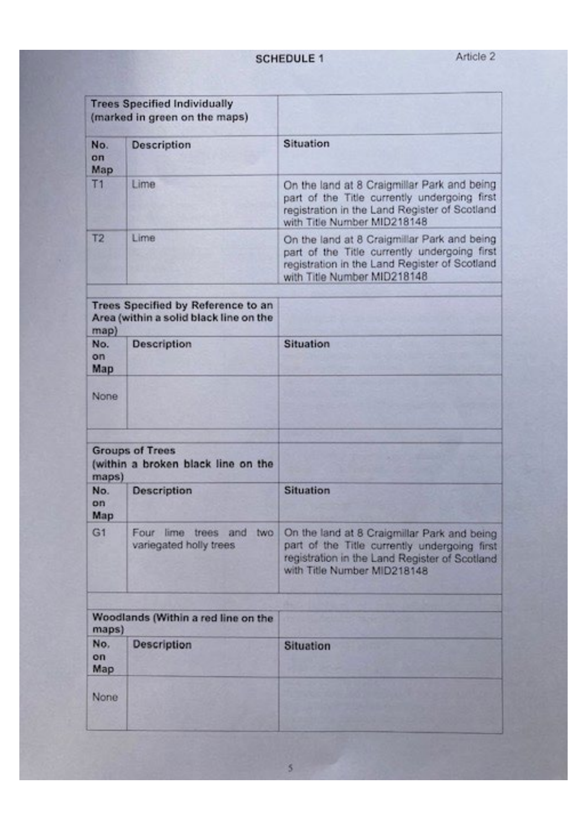**SCHEDULE 1** 

| No.<br>on<br>Map  | <b>Description</b>                                                           | Situation                                                                                                                                                                   |
|-------------------|------------------------------------------------------------------------------|-----------------------------------------------------------------------------------------------------------------------------------------------------------------------------|
| T1                | Lime                                                                         | On the land at 8 Craigmillar Park and being<br>part of the Title currently undergoing first<br>registration in the Land Register of Scotland<br>with Title Number MID218148 |
| T2                | Lime                                                                         | On the land at 8 Craigmillar Park and being<br>part of the Title currently undergoing first<br>registration in the Land Register of Scotland<br>with Title Number MID218148 |
| map)              | Trees Specified by Reference to an<br>Area (within a solid black line on the |                                                                                                                                                                             |
| No.<br>on:<br>Map | <b>Description</b>                                                           | Situation                                                                                                                                                                   |
| None              |                                                                              |                                                                                                                                                                             |
|                   | <b>Groups of Trees</b>                                                       |                                                                                                                                                                             |
| maps)             | (within a broken black line on the                                           |                                                                                                                                                                             |
| No.<br>on<br>Map  | Description                                                                  | Situation                                                                                                                                                                   |
| G1                | Four<br>lime<br>trees<br>and<br><b>IWO</b><br>variegated holly trees.        | On the land at 8 Craigmillar Park and being<br>part of the Title currently undergoing first<br>registration in the Land Register of Scotland<br>with Title Number MID218148 |

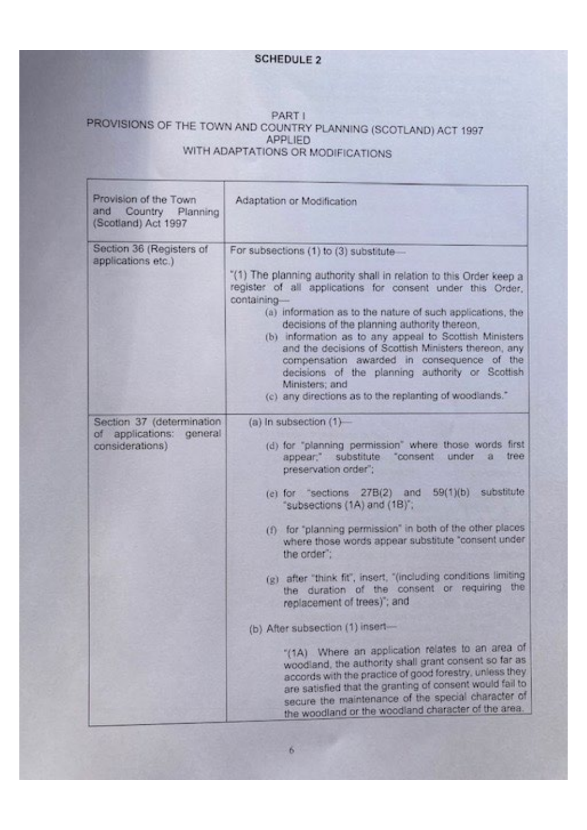## **SCHEDULE 2**

## PART I PROVISIONS OF THE TOWN AND COUNTRY PLANNING (SCOTLAND) ACT 1997 **APPLIED** WITH ADAPTATIONS OR MODIFICATIONS

| Provision of the Town<br>and Country Planning<br>(Scotland) Act 1997     | Adaptation or Modification                                                                                                                                                                                                                                                                                                                                                                                                                                                                                                                                                                            |
|--------------------------------------------------------------------------|-------------------------------------------------------------------------------------------------------------------------------------------------------------------------------------------------------------------------------------------------------------------------------------------------------------------------------------------------------------------------------------------------------------------------------------------------------------------------------------------------------------------------------------------------------------------------------------------------------|
| Section 36 (Registers of<br>applications etc.)                           | For subsections (1) to (3) substitute-<br>"(1) The planning authority shall in relation to this Order keep a<br>register of all applications for consent under this Order.<br>containing<br>(a) information as to the nature of such applications, the<br>decisions of the planning authority thereon,<br>(b) information as to any appeal to Scottish Ministers<br>and the decisions of Scottish Ministers thereon, any<br>compensation awarded in consequence of the<br>decisions of the planning authority or Scottish<br>Ministers; and<br>(c) any directions as to the replanting of woodlands." |
| Section 37 (determination<br>of applications: general<br>considerations) | (a) In subsection $(1)$ -<br>(d) for "planning permission" where those words first<br>appear," substitute "consent under<br>tree<br>准<br>preservation order";<br>59(1)(b) substitute<br>(e) for "sections 27B(2)<br>and<br>"subsections (1A) and (1B)";<br>(f) for "planning permission" in both of the other places<br>where those words appear substitute "consent under<br>the order":<br>(g) after "think fit", insert, "(including conditions limiting<br>the<br>the duration of the consent or requiring<br>replacement of trees); and<br>(b) After subsection (1) insert-                      |

 $\mathbf{6}$ 

"(1A) Where an application relates to an area of woodland, the authority shall grant consent so far as accords with the practice of good forestry, unless they are satisfied that the granting of consent would fail to secure the maintenance of the special character of the woodland or the woodland character of the area.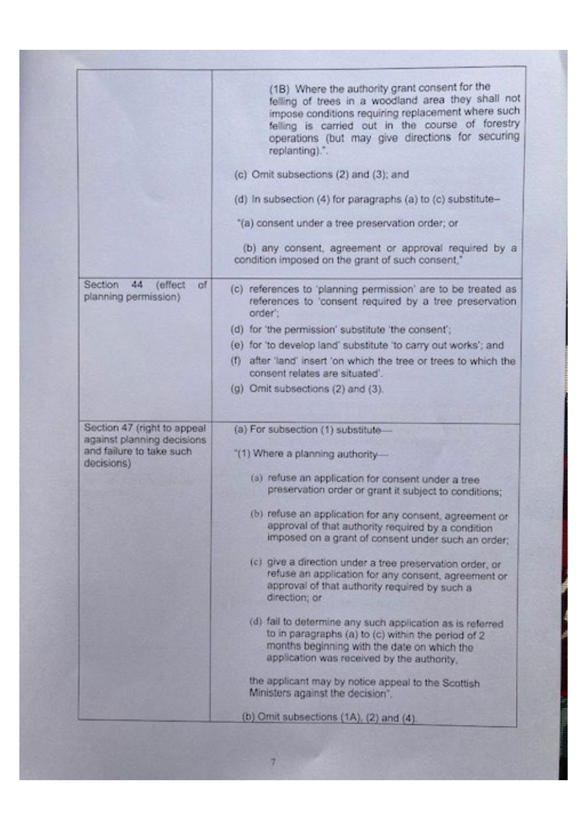|                                                             | (1B) Where the authority grant consent for the<br>felling of trees in a woodland area they shall not<br>impose conditions requiring replacement where such<br>felling is carried out in the course of forestry<br>operations (but may give directions for securing<br>replanting).". |  |
|-------------------------------------------------------------|--------------------------------------------------------------------------------------------------------------------------------------------------------------------------------------------------------------------------------------------------------------------------------------|--|
|                                                             | (c) Omit subsections (2) and (3); and                                                                                                                                                                                                                                                |  |
|                                                             | (d) In subsection (4) for paragraphs (a) to (c) substitute-                                                                                                                                                                                                                          |  |
|                                                             |                                                                                                                                                                                                                                                                                      |  |
|                                                             | "(a) consent under a tree preservation order; or                                                                                                                                                                                                                                     |  |
|                                                             | (b) any consent, agreement or approval required by a<br>condition imposed on the grant of such consent,"                                                                                                                                                                             |  |
| Section<br>$-44$<br>(effect<br>of<br>planning permission)   | (c) references to 'planning permission' are to be treated as<br>references to 'consent required by a tree preservation<br>order':                                                                                                                                                    |  |
|                                                             | (d) for 'the permission' substitute 'the consent';                                                                                                                                                                                                                                   |  |
|                                                             | (e) for 'to develop land' substitute 'to carry out works'; and                                                                                                                                                                                                                       |  |
|                                                             | after 'land' insert 'on which the tree or trees to which the<br>m<br>consent relates are situated".                                                                                                                                                                                  |  |
|                                                             | (g) Omit subsections (2) and (3).                                                                                                                                                                                                                                                    |  |
| Section 47 (right to appeal.<br>against planning decisions. | (a) For subsection (1) substitute-                                                                                                                                                                                                                                                   |  |
| and failure to take such<br>decisions)                      | "(1) Where a planning authority-                                                                                                                                                                                                                                                     |  |
|                                                             | (a) refuse an application for consent under a tree<br>preservation order or grant it subject to conditions;                                                                                                                                                                          |  |
|                                                             | (b) refuse an application for any consent, agreement or<br>approval of that authority required by a condition<br>imposed on a grant of consent under such an order;                                                                                                                  |  |
|                                                             | (c) give a direction under a tree preservation order, or<br>refuse an application for any consent, agreement or<br>approval of that authority required by such a<br>direction; or                                                                                                    |  |
|                                                             | (d) fail to determine any such application as is referred                                                                                                                                                                                                                            |  |

to in paragraphs (a) to (c) within the period of 2<br>months beginning with the date on which the<br>application was received by the authority,

the applicant may by notice appeal to the Scottish<br>Ministers against the decision".

(b) Omit subsections  $(1A)$ ,  $(2)$  and  $(4)$ .

7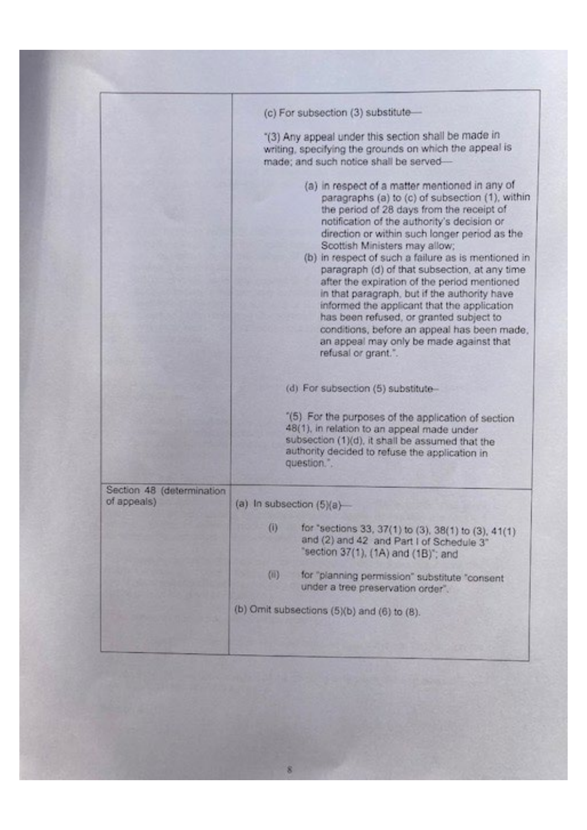|                                          | (c) For subsection (3) substitute-                                                                                                                                                                                                                                                                                                                                                                                                                                                                                                                                                                                                                                                                 |
|------------------------------------------|----------------------------------------------------------------------------------------------------------------------------------------------------------------------------------------------------------------------------------------------------------------------------------------------------------------------------------------------------------------------------------------------------------------------------------------------------------------------------------------------------------------------------------------------------------------------------------------------------------------------------------------------------------------------------------------------------|
|                                          | "(3) Any appeal under this section shall be made in<br>writing, specifying the grounds on which the appeal is<br>made; and such notice shall be served-                                                                                                                                                                                                                                                                                                                                                                                                                                                                                                                                            |
|                                          | (a) in respect of a matter mentioned in any of<br>paragraphs (a) to (c) of subsection (1), within<br>the period of 28 days from the receipt of<br>notification of the authority's decision or<br>direction or within such longer period as the<br>Scottish Ministers may allow;<br>(b) in respect of such a failure as is mentioned in<br>paragraph (d) of that subsection, at any time<br>after the expiration of the period mentioned<br>in that paragraph, but if the authority have<br>informed the applicant that the application<br>has been refused, or granted subject to<br>conditions, before an appeal has been made,<br>an appeal may only be made against that<br>refusal or grant.". |
|                                          | (d) For subsection (5) substitute-                                                                                                                                                                                                                                                                                                                                                                                                                                                                                                                                                                                                                                                                 |
|                                          | "(5) For the purposes of the application of section<br>48(1), in relation to an appeal made under<br>subsection (1)(d), it shall be assumed that the<br>authority decided to refuse the application in<br>question.".                                                                                                                                                                                                                                                                                                                                                                                                                                                                              |
| Section 48 (determination<br>of appeals) | (a) In subsection (5)(a)-                                                                                                                                                                                                                                                                                                                                                                                                                                                                                                                                                                                                                                                                          |
|                                          | $\left( 0\right)$<br>for "sections 33, 37(1) to (3), 38(1) to (3), 41(1)<br>and (2) and 42 and Part I of Schedule 3"<br>"section 37(1), (1A) and (1B)"; and                                                                                                                                                                                                                                                                                                                                                                                                                                                                                                                                        |
|                                          | (时)<br>for "planning permission" substitute "consent<br>under a tree preservation order".                                                                                                                                                                                                                                                                                                                                                                                                                                                                                                                                                                                                          |
|                                          |                                                                                                                                                                                                                                                                                                                                                                                                                                                                                                                                                                                                                                                                                                    |
|                                          | (b) Omit subsections $(5)(b)$ and $(6)$ to $(8)$ .                                                                                                                                                                                                                                                                                                                                                                                                                                                                                                                                                                                                                                                 |

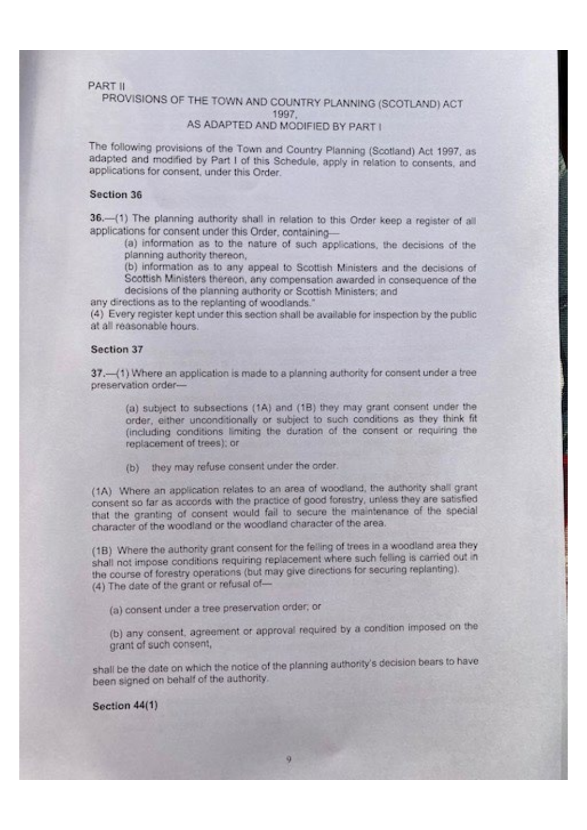## **PART II**

## PROVISIONS OF THE TOWN AND COUNTRY PLANNING (SCOTLAND) ACT 1997. AS ADAPTED AND MODIFIED BY PART I

The following provisions of the Town and Country Planning (Scotland) Act 1997, as adapted and modified by Part I of this Schedule, apply in relation to consents, and applications for consent, under this Order.

### Section 36

36.-(1) The planning authority shall in relation to this Order keep a register of all applications for consent under this Order, containing-

(a) information as to the nature of such applications, the decisions of the planning authority thereon,

(b) information as to any appeal to Scottish Ministers and the decisions of Scottish Ministers thereon, any compensation awarded in consequence of the decisions of the planning authority or Scottish Ministers; and

any directions as to the replanting of woodlands."

(4) Every register kept under this section shall be available for inspection by the public at all reasonable hours.

### Section 37

37.- (1) Where an application is made to a planning authority for consent under a tree preservation order-

(a) subject to subsections (1A) and (1B) they may grant consent under the order, either unconditionally or subject to such conditions as they think fit (including conditions limiting the duration of the consent or requiring the replacement of trees); or

(b) they may refuse consent under the order.

(1A) Where an application relates to an area of woodland, the authority shall grant consent so far as accords with the practice of good forestry, unless they are satisfied that the granting of consent would fail to secure the maintenance of the special character of the woodland or the woodland character of the area.

(1B) Where the authority grant consent for the felling of trees in a woodland area they shall not impose conditions requiring replacement where such felling is carried out in the course of forestry operations (but may give directions for securing replanting). (4) The date of the grant or refusal of-

(a) consent under a tree preservation order, or

(b) any consent, agreement or approval required by a condition imposed on the grant of such consent,

shall be the date on which the notice of the planning authority's decision bears to have been signed on behalf of the authority.

9.

Section 44(1)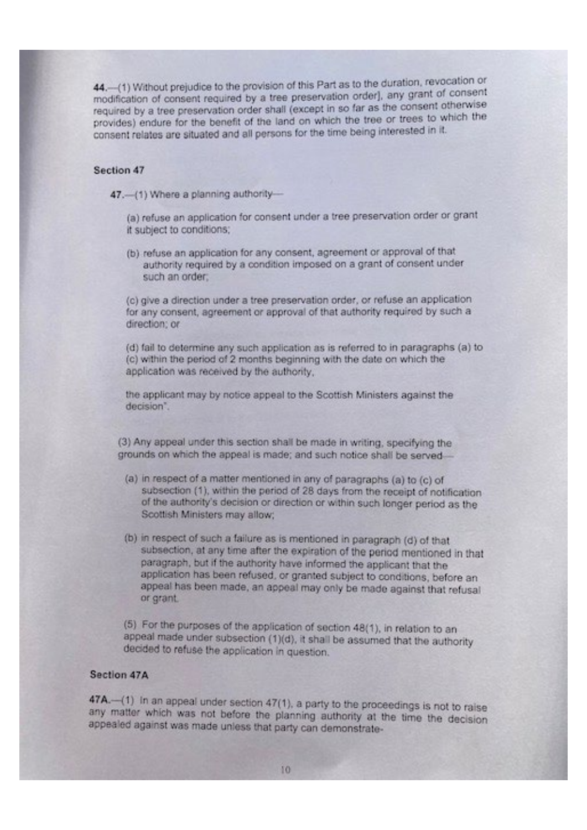44.-(1) Without prejudice to the provision of this Part as to the duration, revocation or modification of consent required by a tree preservation order), any grant of consent required by a tree preservation order shall (except in so far as the consent otherwise provides) endure for the benefit of the land on which the tree or trees to which the consent relates are situated and all persons for the time being interested in it.

### Section 47

47.-(1) Where a planning authority-

(a) refuse an application for consent under a tree preservation order or grant it subject to conditions;

(b) refuse an application for any consent, agreement or approval of that authority required by a condition imposed on a grant of consent under such an order.

(c) give a direction under a tree preservation order, or refuse an application for any consent, agreement or approval of that authority required by such a direction; or

(d) fail to determine any such application as is referred to in paragraphs (a) to (c) within the period of 2 months beginning with the date on which the application was received by the authority,

the applicant may by notice appeal to the Scottish Ministers against the decision".

(3) Any appeal under this section shall be made in writing, specifying the grounds on which the appeal is made; and such notice shall be served-

- (a) in respect of a matter mentioned in any of paragraphs (a) to (c) of subsection (1), within the period of 28 days from the receipt of notification of the authority's decision or direction or within such longer period as the Scottish Ministers may allow;
- (b) in respect of such a failure as is mentioned in paragraph (d) of that subsection, at any time after the expiration of the period mentioned in that paragraph, but if the authority have informed the applicant that the application has been refused, or granted subject to conditions, before an appeal has been made, an appeal may only be made against that refusal or grant.
- 

(5) For the purposes of the application of section 48(1), in relation to an appeal made under subsection (1)(d), it shall be assumed that the authority decided to refuse the application in question.

### Section 47A

47A.-(1) In an appeal under section 47(1), a party to the proceedings is not to raise any matter which was not before the planning authority at the time the decision appealed against was made unless that party can demonstrate-

10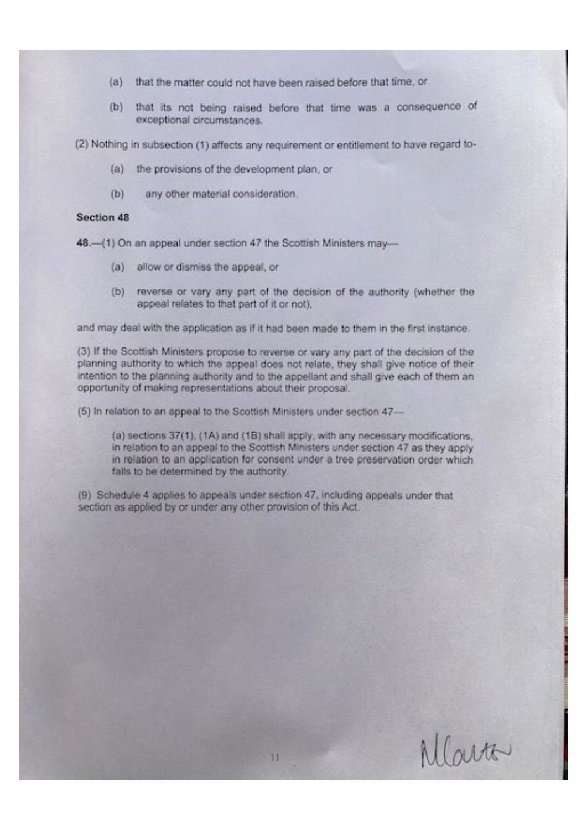- (a) that the matter could not have been raised before that time, or
- (b) that its not being raised before that time was a consequence of exceptional circumstances.

(2) Nothing in subsection (1) affects any requirement or entitlement to have regard to-

- (a) the provisions of the development plan, or
- $(b)$ any other material consideration.

### Section 48

48.-(1) On an appeal under section 47 the Scottish Ministers may-

- (a) allow or dismiss the appeal, or
- (b) reverse or vary any part of the decision of the authority (whether the appeal relates to that part of it or not).

and may deal with the application as if it had been made to them in the first instance.

(3) If the Scottish Ministers propose to reverse or vary any part of the decision of the planning authority to which the appeal does not relate, they shall give notice of their intention to the planning authority and to the appellant and shall give each of them an opportunity of making representations about their proposal.

(5) In relation to an appeal to the Scottish Ministers under section 47-

(a) sections 37(1), (1A) and (1B) shall apply, with any necessary modifications, in relation to an appeal to the Scottish Ministers under section 47 as they apply in relation to an application for consent under a tree preservation order which falls to be determined by the authority.

(9) Schedule 4 applies to appeals under section 47, including appeals under that section as applied by or under any other provision of this Act.